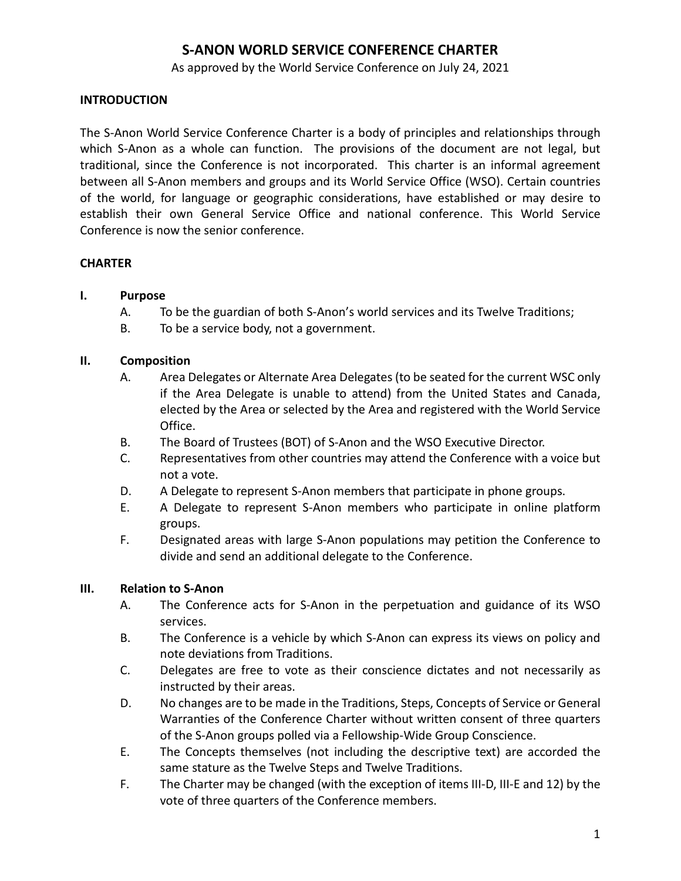As approved by the World Service Conference on July 24, 2021

## **INTRODUCTION**

The S-Anon World Service Conference Charter is a body of principles and relationships through which S-Anon as a whole can function. The provisions of the document are not legal, but traditional, since the Conference is not incorporated. This charter is an informal agreement between all S-Anon members and groups and its World Service Office (WSO). Certain countries of the world, for language or geographic considerations, have established or may desire to establish their own General Service Office and national conference. This World Service Conference is now the senior conference.

#### **CHARTER**

#### **I. Purpose**

- A. To be the guardian of both S-Anon's world services and its Twelve Traditions;
- B. To be a service body, not a government.

#### **II. Composition**

- A. Area Delegates or Alternate Area Delegates (to be seated for the current WSC only if the Area Delegate is unable to attend) from the United States and Canada, elected by the Area or selected by the Area and registered with the World Service Office.
- B. The Board of Trustees (BOT) of S-Anon and the WSO Executive Director.
- C. Representatives from other countries may attend the Conference with a voice but not a vote.
- D. A Delegate to represent S-Anon members that participate in phone groups.
- E. A Delegate to represent S-Anon members who participate in online platform groups.
- F. Designated areas with large S-Anon populations may petition the Conference to divide and send an additional delegate to the Conference.

#### **III. Relation to S-Anon**

- A. The Conference acts for S-Anon in the perpetuation and guidance of its WSO services.
- B. The Conference is a vehicle by which S-Anon can express its views on policy and note deviations from Traditions.
- C. Delegates are free to vote as their conscience dictates and not necessarily as instructed by their areas.
- D. No changes are to be made in the Traditions, Steps, Concepts of Service or General Warranties of the Conference Charter without written consent of three quarters of the S-Anon groups polled via a Fellowship-Wide Group Conscience.
- E. The Concepts themselves (not including the descriptive text) are accorded the same stature as the Twelve Steps and Twelve Traditions.
- F. The Charter may be changed (with the exception of items III-D, III-E and 12) by the vote of three quarters of the Conference members.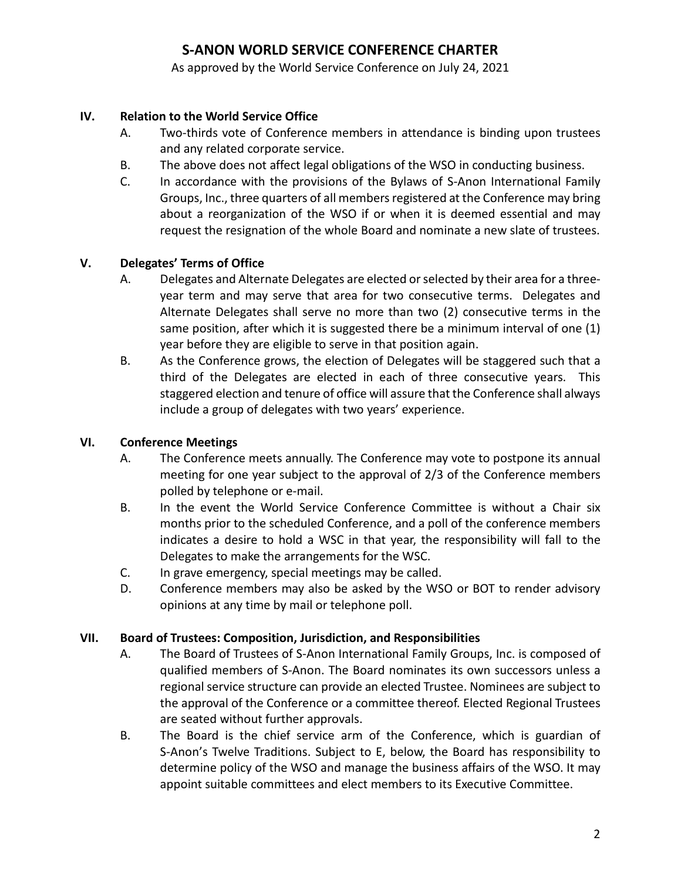As approved by the World Service Conference on July 24, 2021

# **IV. Relation to the World Service Office**

- A. Two-thirds vote of Conference members in attendance is binding upon trustees and any related corporate service.
- B. The above does not affect legal obligations of the WSO in conducting business.
- C. In accordance with the provisions of the Bylaws of S-Anon International Family Groups, Inc., three quarters of all members registered at the Conference may bring about a reorganization of the WSO if or when it is deemed essential and may request the resignation of the whole Board and nominate a new slate of trustees.

## **V. Delegates' Terms of Office**

- A. Delegates and Alternate Delegates are elected or selected by their area for a threeyear term and may serve that area for two consecutive terms. Delegates and Alternate Delegates shall serve no more than two (2) consecutive terms in the same position, after which it is suggested there be a minimum interval of one (1) year before they are eligible to serve in that position again.
- B. As the Conference grows, the election of Delegates will be staggered such that a third of the Delegates are elected in each of three consecutive years. This staggered election and tenure of office will assure that the Conference shall always include a group of delegates with two years' experience.

## **VI. Conference Meetings**

- A. The Conference meets annually. The Conference may vote to postpone its annual meeting for one year subject to the approval of 2/3 of the Conference members polled by telephone or e-mail.
- B. In the event the World Service Conference Committee is without a Chair six months prior to the scheduled Conference, and a poll of the conference members indicates a desire to hold a WSC in that year, the responsibility will fall to the Delegates to make the arrangements for the WSC.
- C. In grave emergency, special meetings may be called.
- D. Conference members may also be asked by the WSO or BOT to render advisory opinions at any time by mail or telephone poll.

## **VII. Board of Trustees: Composition, Jurisdiction, and Responsibilities**

- A. The Board of Trustees of S-Anon International Family Groups, Inc. is composed of qualified members of S-Anon. The Board nominates its own successors unless a regional service structure can provide an elected Trustee. Nominees are subject to the approval of the Conference or a committee thereof. Elected Regional Trustees are seated without further approvals.
- B. The Board is the chief service arm of the Conference, which is guardian of S-Anon's Twelve Traditions. Subject to E, below, the Board has responsibility to determine policy of the WSO and manage the business affairs of the WSO. It may appoint suitable committees and elect members to its Executive Committee.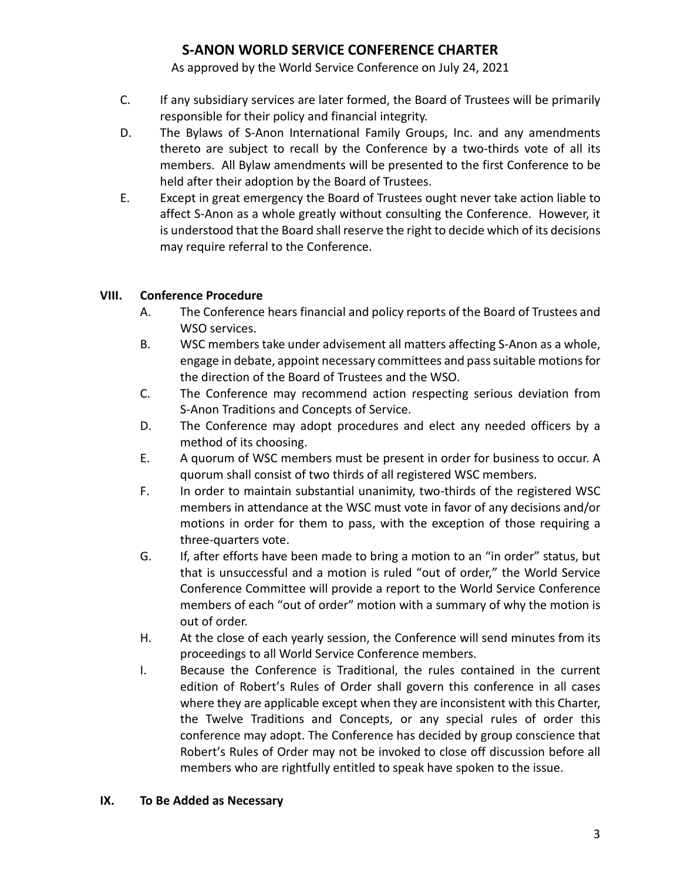As approved by the World Service Conference on July 24, 2021

- C. If any subsidiary services are later formed, the Board of Trustees will be primarily responsible for their policy and financial integrity.
- D. The Bylaws of S-Anon International Family Groups, Inc. and any amendments thereto are subject to recall by the Conference by a two-thirds vote of all its members. All Bylaw amendments will be presented to the first Conference to be held after their adoption by the Board of Trustees.
- E. Except in great emergency the Board of Trustees ought never take action liable to affect S-Anon as a whole greatly without consulting the Conference. However, it is understood that the Board shall reserve the right to decide which of its decisions may require referral to the Conference.

## **VIII. Conference Procedure**

- A. The Conference hears financial and policy reports of the Board of Trustees and WSO services.
- B. WSC members take under advisement all matters affecting S-Anon as a whole, engage in debate, appoint necessary committees and pass suitable motions for the direction of the Board of Trustees and the WSO.
- C. The Conference may recommend action respecting serious deviation from S-Anon Traditions and Concepts of Service.
- D. The Conference may adopt procedures and elect any needed officers by a method of its choosing.
- E. A quorum of WSC members must be present in order for business to occur. A quorum shall consist of two thirds of all registered WSC members.
- F. In order to maintain substantial unanimity, two-thirds of the registered WSC members in attendance at the WSC must vote in favor of any decisions and/or motions in order for them to pass, with the exception of those requiring a three-quarters vote.
- G. If, after efforts have been made to bring a motion to an "in order" status, but that is unsuccessful and a motion is ruled "out of order," the World Service Conference Committee will provide a report to the World Service Conference members of each "out of order" motion with a summary of why the motion is out of order.
- H. At the close of each yearly session, the Conference will send minutes from its proceedings to all World Service Conference members.
- I. Because the Conference is Traditional, the rules contained in the current edition of Robert's Rules of Order shall govern this conference in all cases where they are applicable except when they are inconsistent with this Charter, the Twelve Traditions and Concepts, or any special rules of order this conference may adopt. The Conference has decided by group conscience that Robert's Rules of Order may not be invoked to close off discussion before all members who are rightfully entitled to speak have spoken to the issue.

## **IX. To Be Added as Necessary**